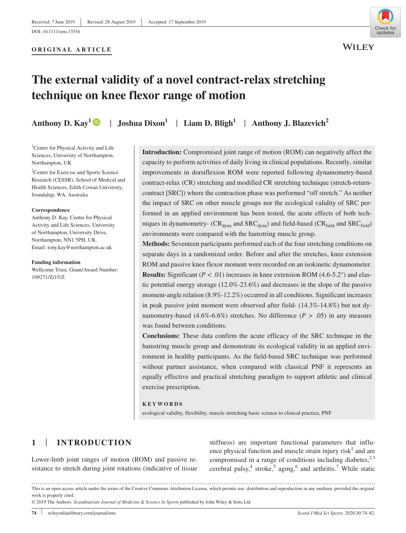#### **ORIGINAL ARTICLE**



**WILEY** 

# **The external validity of a novel contract‐relax stretching technique on knee flexor range of motion**

**Anthony D. Kay<sup>1</sup>**  $\bullet$  **| Joshua Dixon<sup>1</sup> | Liam D. Bligh<sup>1</sup> | Anthony J. Blazevich<sup>2</sup>** 

<sup>1</sup>Centre for Physical Activity and Life Sciences, University of Northampton, Northampton, UK

<sup>2</sup> Centre for Exercise and Sports Science Research (CESSR), School of Medical and Health Sciences, Edith Cowan University, Joondalup, WA, Australia

#### **Correspondence**

Anthony D. Kay, Centre for Physical Activity and Life Sciences, University of Northampton, University Drive, Northampton, NN1 5PH, UK. Email: [tony.kay@northampton.ac.uk](mailto:tony.kay@northampton.ac.uk)

**Funding information**

Wellcome Trust, Grant/Award Number: 109271/Z/15/Z

**Introduction:** Compromised joint range of motion (ROM) can negatively affect the capacity to perform activities of daily living in clinical populations. Recently, similar improvements in dorsiflexion ROM were reported following dynamometry‐based contract-relax (CR) stretching and modified CR stretching technique (stretch-returncontract [SRC]) where the contraction phase was performed "off stretch." As neither the impact of SRC on other muscle groups nor the ecological validity of SRC performed in an applied environment has been tested, the acute effects of both techniques in dynamometry- ( $CR_{dyna}$  and  $SRC_{dyna}$ ) and field-based ( $CR_{field}$  and  $SRC_{field}$ ) environments were compared with the hamstring muscle group.

**Methods:** Seventeen participants performed each of the four stretching conditions on separate days in a randomized order. Before and after the stretches, knee extension ROM and passive knee flexor moment were recorded on an isokinetic dynamometer. **Results:** Significant  $(P < .01)$  increases in knee extension ROM  $(4.6-5.2^{\circ})$  and elastic potential energy storage  $(12.0\% - 23.6\%)$  and decreases in the slope of the passive moment‐angle relation (8.9%‐12.2%) occurred in all conditions. Significant increases in peak passive joint moment were observed after field-  $(14.3\% - 14.8\%)$  but not dynamometry-based (4.6%-6.6%) stretches. No difference ( $P > .05$ ) in any measure was found between conditions.

**Conclusions:** These data confirm the acute efficacy of the SRC technique in the hamstring muscle group and demonstrate its ecological validity in an applied environment in healthy participants. As the field‐based SRC technique was performed without partner assistance, when compared with classical PNF it represents an equally effective and practical stretching paradigm to support athletic and clinical exercise prescription.

**KEYWORDS**

ecological validity, flexibility, muscle stretching basic science to clinical practice, PNF

# **1** | **INTRODUCTION**

Lower-limb joint ranges of motion (ROM) and passive resistance to stretch during joint rotations (indicative of tissue stiffness) are important functional parameters that influence physical function and muscle strain injury  $risk<sup>1</sup>$  and are compromised in a range of conditions including diabetes,  $2,3$ cerebral palsy,<sup>4</sup> stroke,<sup>5</sup> aging,<sup>6</sup> and arthritis.<sup>7</sup> While static

This is an open access article under the terms of the [Creative Commons Attribution](http://creativecommons.org/licenses/by/4.0/) License, which permits use, distribution and reproduction in any medium, provided the original work is properly cited.

<sup>© 2019</sup> The Authors. *Scandinavian Journal of Medicine & Science In Sports* published by John Wiley & Sons Ltd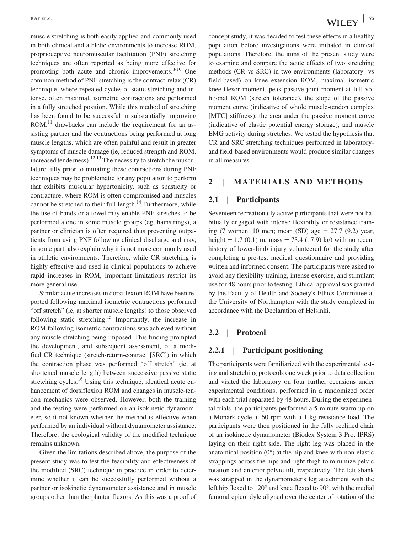muscle stretching is both easily applied and commonly used in both clinical and athletic environments to increase ROM, proprioceptive neuromuscular facilitation (PNF) stretching techniques are often reported as being more effective for promoting both acute and chronic improvements. $8-10$  One common method of PNF stretching is the contract‐relax (CR) technique, where repeated cycles of static stretching and intense, often maximal, isometric contractions are performed in a fully stretched position. While this method of stretching has been found to be successful in substantially improving ROM, $^{11}$  drawbacks can include the requirement for an assisting partner and the contractions being performed at long muscle lengths, which are often painful and result in greater symptoms of muscle damage (ie, reduced strength and ROM, increased tenderness).<sup>12,13</sup> The necessity to stretch the musculature fully prior to initiating these contractions during PNF techniques may be problematic for any population to perform that exhibits muscular hypertonicity, such as spasticity or contracture, where ROM is often compromised and muscles cannot be stretched to their full length. $14$  Furthermore, while the use of bands or a towel may enable PNF stretches to be performed alone in some muscle groups (eg, hamstrings), a partner or clinician is often required thus preventing outpatients from using PNF following clinical discharge and may, in some part, also explain why it is not more commonly used in athletic environments. Therefore, while CR stretching is highly effective and used in clinical populations to achieve rapid increases in ROM, important limitations restrict its more general use.

Similar acute increases in dorsiflexion ROM have been reported following maximal isometric contractions performed "off stretch" (ie, at shorter muscle lengths) to those observed following static stretching.<sup>15</sup> Importantly, the increase in ROM following isometric contractions was achieved without any muscle stretching being imposed. This finding prompted the development, and subsequent assessment, of a modified CR technique (stretch-return-contract [SRC]) in which the contraction phase was performed "off stretch" (ie, at shortened muscle length) between successive passive static stretching cycles.<sup>16</sup> Using this technique, identical acute enhancement of dorsiflexion ROM and changes in muscle-tendon mechanics were observed. However, both the training and the testing were performed on an isokinetic dynamometer, so it not known whether the method is effective when performed by an individual without dynamometer assistance. Therefore, the ecological validity of the modified technique remains unknown.

Given the limitations described above, the purpose of the present study was to test the feasibility and effectiveness of the modified (SRC) technique in practice in order to determine whether it can be successfully performed without a partner or isokinetic dynamometer assistance and in muscle groups other than the plantar flexors. As this was a proof of concept study, it was decided to test these effects in a healthy population before investigations were initiated in clinical populations. Therefore, the aims of the present study were to examine and compare the acute effects of two stretching methods (CR vs SRC) in two environments (laboratory‐ vs field‐based) on knee extension ROM, maximal isometric knee flexor moment, peak passive joint moment at full volitional ROM (stretch tolerance), the slope of the passive moment curve (indicative of whole muscle‐tendon complex [MTC] stiffness), the area under the passive moment curve (indicative of elastic potential energy storage), and muscle EMG activity during stretches. We tested the hypothesis that CR and SRC stretching techniques performed in laboratory‐ and field‐based environments would produce similar changes in all measures.

#### **2** | **MATERIALS AND METHODS**

#### **2.1** | **Participants**

Seventeen recreationally active participants that were not habitually engaged with intense flexibility or resistance training (7 women, 10 men; mean (SD) age  $= 27.7$  (9.2) year, height =  $1.7 (0.1)$  m, mass =  $73.4 (17.9)$  kg) with no recent history of lower-limb injury volunteered for the study after completing a pre‐test medical questionnaire and providing written and informed consent. The participants were asked to avoid any flexibility training, intense exercise, and stimulant use for 48 hours prior to testing. Ethical approval was granted by the Faculty of Health and Society's Ethics Committee at the University of Northampton with the study completed in accordance with the Declaration of Helsinki.

#### **2.2** | **Protocol**

# **2.2.1** | **Participant positioning**

The participants were familiarized with the experimental testing and stretching protocols one week prior to data collection and visited the laboratory on four further occasions under experimental conditions, performed in a randomized order with each trial separated by 48 hours. During the experimental trials, the participants performed a 5‐minute warm‐up on a Monark cycle at 60 rpm with a 1‐kg resistance load. The participants were then positioned in the fully reclined chair of an isokinetic dynamometer (Biodex System 3 Pro, IPRS) laying on their right side. The right leg was placed in the anatomical position  $(0^{\circ})$  at the hip and knee with non-elastic strappings across the hips and right thigh to minimize pelvic rotation and anterior pelvic tilt, respectively. The left shank was strapped in the dynamometer's leg attachment with the left hip flexed to 120° and knee flexed to 90°, with the medial femoral epicondyle aligned over the center of rotation of the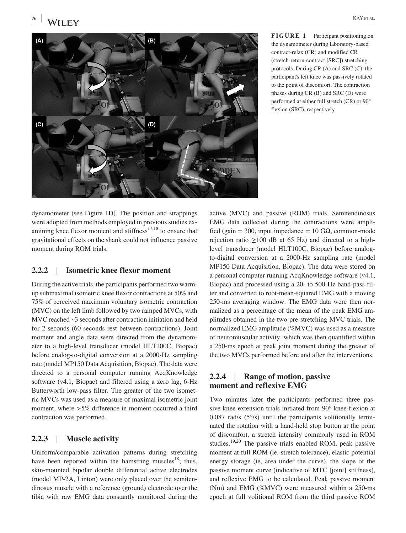flexion (SRC), respectively



dynamometer (see Figure 1D). The position and strappings were adopted from methods employed in previous studies examining knee flexor moment and stiffness $17,18$  to ensure that gravitational effects on the shank could not influence passive moment during ROM trials.

# **2.2.2** | **Isometric knee flexor moment**

During the active trials, the participants performed two warmup submaximal isometric knee flexor contractions at 50% and 75% of perceived maximum voluntary isometric contraction (MVC) on the left limb followed by two ramped MVCs, with MVC reached ~3 seconds after contraction initiation and held for 2 seconds (60 seconds rest between contractions). Joint moment and angle data were directed from the dynamometer to a high‐level transducer (model HLT100C, Biopac) before analog‐to‐digital conversion at a 2000‐Hz sampling rate (model MP150 Data Acquisition, Biopac). The data were directed to a personal computer running AcqKnowledge software (v4.1, Biopac) and filtered using a zero lag, 6‐Hz Butterworth low‐pass filter. The greater of the two isometric MVCs was used as a measure of maximal isometric joint moment, where  $>5\%$  difference in moment occurred a third contraction was performed.

# **2.2.3** | **Muscle activity**

Uniform/comparable activation patterns during stretching have been reported within the hamstring muscles<sup>18</sup>; thus, skin‐mounted bipolar double differential active electrodes (model MP‐2A, Linton) were only placed over the semitendinosus muscle with a reference (ground) electrode over the tibia with raw EMG data constantly monitored during the active (MVC) and passive (ROM) trials. Semitendinosus EMG data collected during the contractions were amplified (gain = 300, input impedance = 10 G $\Omega$ , common-mode rejection ratio  $\geq$ 100 dB at 65 Hz) and directed to a highlevel transducer (model HLT100C, Biopac) before analog‐ to‐digital conversion at a 2000‐Hz sampling rate (model MP150 Data Acquisition, Biopac). The data were stored on a personal computer running AcqKnowledge software (v4.1, Biopac) and processed using a 20‐ to 500‐Hz band‐pass filter and converted to root‐mean‐squared EMG with a moving 250‐ms averaging window. The EMG data were then normalized as a percentage of the mean of the peak EMG amplitudes obtained in the two pre‐stretching MVC trials. The normalized EMG amplitude (%MVC) was used as a measure of neuromuscular activity, which was then quantified within a 250‐ms epoch at peak joint moment during the greater of the two MVCs performed before and after the interventions.

# **2.2.4** | **Range of motion, passive moment and reflexive EMG**

Two minutes later the participants performed three passive knee extension trials initiated from 90° knee flexion at  $0.087$  rad/s  $(5^{\circ}/s)$  until the participants volitionally terminated the rotation with a hand‐held stop button at the point of discomfort, a stretch intensity commonly used in ROM studies.<sup>19,20</sup> The passive trials enabled ROM, peak passive moment at full ROM (ie, stretch tolerance), elastic potential energy storage (ie, area under the curve), the slope of the passive moment curve (indicative of MTC [joint] stiffness), and reflexive EMG to be calculated. Peak passive moment (Nm) and EMG (%MVC) were measured within a 250‐ms epoch at full volitional ROM from the third passive ROM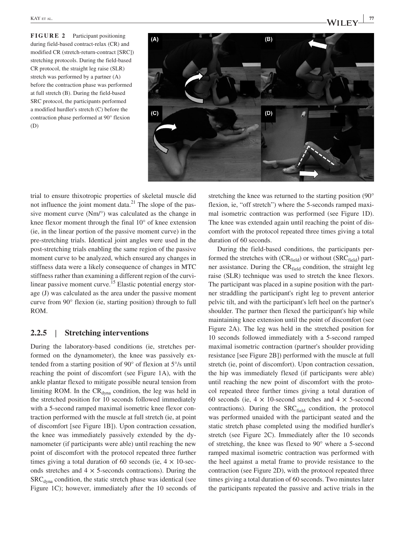**FIGURE 2** Participant positioning during field‐based contract‐relax (CR) and modified CR (stretch‐return‐contract [SRC]) stretching protocols. During the field‐based CR protocol, the straight leg raise (SLR) stretch was performed by a partner (A) before the contraction phase was performed at full stretch (B). During the field‐based SRC protocol, the participants performed a modified hurdler's stretch (C) before the contraction phase performed at 90° flexion (D)



trial to ensure thixotropic properties of skeletal muscle did not influence the joint moment data. $^{21}$  The slope of the passive moment curve (Nm/°) was calculated as the change in knee flexor moment through the final 10° of knee extension (ie, in the linear portion of the passive moment curve) in the pre‐stretching trials. Identical joint angles were used in the post‐stretching trials enabling the same region of the passive moment curve to be analyzed, which ensured any changes in stiffness data were a likely consequence of changes in MTC stiffness rather than examining a different region of the curvilinear passive moment curve.<sup>15</sup> Elastic potential energy storage (J) was calculated as the area under the passive moment curve from 90° flexion (ie, starting position) through to full ROM.

# **2.2.5** | **Stretching interventions**

During the laboratory‐based conditions (ie, stretches performed on the dynamometer), the knee was passively extended from a starting position of 90° of flexion at 5°/s until reaching the point of discomfort (see Figure 1A), with the ankle plantar flexed to mitigate possible neural tension from limiting ROM. In the  $CR_{dyna}$  condition, the leg was held in the stretched position for 10 seconds followed immediately with a 5-second ramped maximal isometric knee flexor contraction performed with the muscle at full stretch (ie, at point of discomfort [see Figure 1B]). Upon contraction cessation, the knee was immediately passively extended by the dynamometer (if participants were able) until reaching the new point of discomfort with the protocol repeated three further times giving a total duration of 60 seconds (ie,  $4 \times 10$ -seconds stretches and  $4 \times 5$ -seconds contractions). During the  $SRC<sub>dyna</sub>$  condition, the static stretch phase was identical (see Figure 1C); however, immediately after the 10 seconds of stretching the knee was returned to the starting position (90° flexion, ie, "off stretch") where the 5-seconds ramped maximal isometric contraction was performed (see Figure 1D). The knee was extended again until reaching the point of discomfort with the protocol repeated three times giving a total duration of 60 seconds.

During the field‐based conditions, the participants performed the stretches with  $(CR_{field})$  or without  $(SRC_{field})$  partner assistance. During the  $CR_{field}$  condition, the straight leg raise (SLR) technique was used to stretch the knee flexors. The participant was placed in a supine position with the partner straddling the participant's right leg to prevent anterior pelvic tilt, and with the participant's left heel on the partner's shoulder. The partner then flexed the participant's hip while maintaining knee extension until the point of discomfort (see Figure 2A). The leg was held in the stretched position for 10 seconds followed immediately with a 5‐second ramped maximal isometric contraction (partner's shoulder providing resistance [see Figure 2B]) performed with the muscle at full stretch (ie, point of discomfort). Upon contraction cessation, the hip was immediately flexed (if participants were able) until reaching the new point of discomfort with the protocol repeated three further times giving a total duration of 60 seconds (ie,  $4 \times 10$ -second stretches and  $4 \times 5$ -second contractions). During the SRCfield condition, the protocol was performed unaided with the participant seated and the static stretch phase completed using the modified hurdler's stretch (see Figure 2C). Immediately after the 10 seconds of stretching, the knee was flexed to 90° where a 5‐second ramped maximal isometric contraction was performed with the heel against a metal frame to provide resistance to the contraction (see Figure 2D), with the protocol repeated three times giving a total duration of 60 seconds. Two minutes later the participants repeated the passive and active trials in the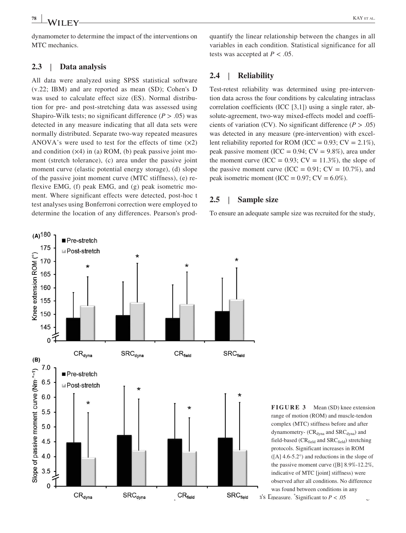$(A)$ <sup>180</sup>

175

Pre-stretch

**■Post-stretch** 

dynamometer to determine the impact of the interventions on MTC mechanics.

## **2.3** | **Data analysis**

All data were analyzed using SPSS statistical software (v.22; IBM) and are reported as mean (SD); Cohen's D was used to calculate effect size (ES). Normal distribution for pre‐ and post‐stretching data was assessed using Shapiro-Wilk tests; no significant difference  $(P > .05)$  was detected in any measure indicating that all data sets were normally distributed. Separate two‐way repeated measures ANOVA's were used to test for the effects of time  $(x2)$ and condition  $(x4)$  in (a) ROM, (b) peak passive joint moment (stretch tolerance), (c) area under the passive joint moment curve (elastic potential energy storage), (d) slope of the passive joint moment curve (MTC stiffness), (e) reflexive EMG, (f) peak EMG, and (g) peak isometric moment. Where significant effects were detected, post-hoc t test analyses using Bonferroni correction were employed to determine the location of any differences. Pearson's prodquantify the linear relationship between the changes in all variables in each condition. Statistical significance for all tests was accepted at  $P < .05$ .

#### **2.4** | **Reliability**

Test-retest reliability was determined using pre-intervention data across the four conditions by calculating intraclass correlation coefficients (ICC [3,1]) using a single rater, absolute-agreement, two-way mixed-effects model and coefficients of variation (CV). No significant difference ( $P > .05$ ) was detected in any measure (pre‐intervention) with excellent reliability reported for ROM (ICC =  $0.93$ ; CV =  $2.1\%$ ), peak passive moment (ICC =  $0.94$ ; CV =  $9.8\%$ ), area under the moment curve (ICC =  $0.93$ ; CV =  $11.3\%$ ), the slope of the passive moment curve (ICC =  $0.91$ ; CV =  $10.7\%$ ), and peak isometric moment (ICC =  $0.97$ ; CV =  $6.0\%$ ).

#### **2.5** | **Sample size**

To ensure an adequate sample size was recruited for the study,



complex (MTC) stiffness before and after dynamometry-  $(CR_{\text{dyna}}$  and  $SRC_{\text{dyna}}$ ) and field-based ( $CR_{field}$  and  $SRC_{field}$ ) stretching protocols. Significant increases in ROM ([A] 4.6‐5.2°) and reductions in the slope of the passive moment curve ([B] 8.9%‐12.2%, indicative of MTC [joint] stiffness) were observed after all conditions. No difference was found between conditions in any

 $\text{SRC}_{\text{field}}$  is D<sub>measure.</sub> *\**Significant to *P* < .05

(nee extension ROM (°) 170  $\star$ 165 160 155 150 145  $0<sup>5</sup>$  $CR_{\text{dyna}}$  $\mathrm{SRC}_{\sf dyna}$  $(B)$  $7.0$ Slope of passive moment curve (Nm<sup>-o-1</sup>) Pre-stretch 6.5 **■Post-stretch**  $6.0$ Y. 5.5 5.0 4.5  $4.0$  $3.5$  $\mathbf 0$  $\mathrm{CR}_\mathrm{dyna}$  srC $_\mathrm{dyna}$  cre $_\mathrm{field}$ 

 $\star$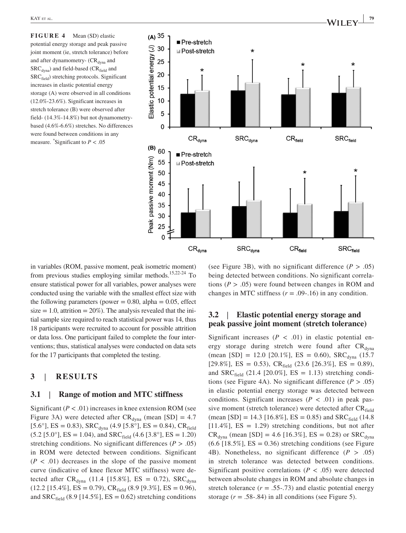**FIGURE 4** Mean (SD) elastic potential energy storage and peak passive joint moment (ie, stretch tolerance) before and after dynamometry-  $CR_{\text{dyna}}$  and  $SRC<sub>dvna</sub>$ ) and field-based ( $CR<sub>field</sub>$  and SRC<sub>field</sub>) stretching protocols. Significant increases in elastic potential energy storage (A) were observed in all conditions (12.0%‐23.6%). Significant increases in stretch tolerance (B) were observed after field‐ (14.3%‐14.8%) but not dynamometry‐ based (4.6%‐6.6%) stretches. No differences were found between conditions in any measure. *\** Significant to *P* < .05



in variables (ROM, passive moment, peak isometric moment) from previous studies employing similar methods.<sup>15,22-24</sup> To ensure statistical power for all variables, power analyses were conducted using the variable with the smallest effect size with the following parameters (power  $= 0.80$ , alpha  $= 0.05$ , effect size  $= 1.0$ , attrition  $= 20\%$ ). The analysis revealed that the initial sample size required to reach statistical power was 14, thus 18 participants were recruited to account for possible attrition or data loss. One participant failed to complete the four interventions; thus, statistical analyses were conducted on data sets for the 17 participants that completed the testing.

## **3** | **RESULTS**

#### **3.1** | **Range of motion and MTC stiffness**

Significant  $(P < .01)$  increases in knee extension ROM (see Figure 3A) were detected after  $CR_{\text{dyna}}$  (mean [SD] = 4.7 [5.6°], ES = 0.83), SRC<sub>dyna</sub> (4.9 [5.8°], ES = 0.84), CR<sub>field</sub>  $(5.2 [5.0^\circ], ES = 1.04)$ , and  $SRC_{field}$   $(4.6 [3.8^\circ], ES = 1.20)$ stretching conditions. No significant differences ( $P > .05$ ) in ROM were detected between conditions. Significant  $(P < .01)$  decreases in the slope of the passive moment curve (indicative of knee flexor MTC stiffness) were detected after  $CR_{\text{dyna}}$  (11.4 [15.8%], ES = 0.72), SRC<sub>dyna</sub>  $(12.2 [15.4\%], ES = 0.79), CR<sub>field</sub> (8.9 [9.3\%], ES = 0.96),$ and  $SRC_{field}$  (8.9 [14.5%], ES = 0.62) stretching conditions

(see Figure 3B), with no significant difference  $(P > .05)$ being detected between conditions. No significant correlations  $(P > .05)$  were found between changes in ROM and changes in MTC stiffness  $(r = .09-.16)$  in any condition.

# **3.2** | **Elastic potential energy storage and peak passive joint moment (stretch tolerance)**

Significant increases  $(P < .01)$  in elastic potential energy storage during stretch were found after  $CR_{\text{dyna}}$ (mean [SD] = 12.0 [20.1%], ES = 0.60), SRC<sub>dyna</sub> (15.7) [29.8%], ES = 0.53), CR<sub>field</sub> (23.6 [26.3%], ES = 0.89), and SRC $_{\text{field}}$  (21.4 [20.0%], ES = 1.13) stretching conditions (see Figure 4A). No significant difference (*P* > .05) in elastic potential energy storage was detected between conditions. Significant increases  $(P < .01)$  in peak passive moment (stretch tolerance) were detected after  $CR_{field}$ (mean [SD] = 14.3 [16.8%], ES = 0.85) and SRC $_{\text{field}}$  (14.8)  $[11.4\%]$ , ES = 1.29) stretching conditions, but not after  $CR_{\text{dyna}}$  (mean [SD] = 4.6 [16.3%], ES = 0.28) or SRC<sub>dyna</sub>  $(6.6 [18.5\%], ES = 0.36)$  stretching conditions (see Figure 4B). Nonetheless, no significant difference  $(P > .05)$ in stretch tolerance was detected between conditions. Significant positive correlations ( $P < .05$ ) were detected between absolute changes in ROM and absolute changes in stretch tolerance  $(r = .55-.73)$  and elastic potential energy storage  $(r = .58-.84)$  in all conditions (see Figure 5).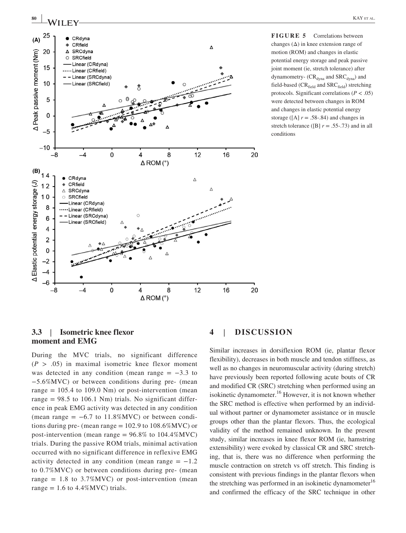

**FIGURE 5** Correlations between changes  $(\Delta)$  in knee extension range of motion (ROM) and changes in elastic potential energy storage and peak passive joint moment (ie, stretch tolerance) after dynamometry-  $(CR_{\text{dyna}}$  and  $SRC_{\text{dyna}})$  and field-based ( $CR_{field}$  and  $SRC_{field}$ ) stretching protocols. Significant correlations  $(P < .05)$ were detected between changes in ROM and changes in elastic potential energy storage ( $[A]$   $r = .58-.84$ ) and changes in stretch tolerance ( $[B]$  *r* = .55-.73) and in all conditions

## **3.3** | **Isometric knee flexor moment and EMG**

During the MVC trials, no significant difference  $(P > .05)$  in maximal isometric knee flexor moment was detected in any condition (mean range  $= -3.3$  to −5.6%MVC) or between conditions during pre‐ (mean range  $= 105.4$  to 109.0 Nm) or post-intervention (mean range  $= 98.5$  to 106.1 Nm) trials. No significant difference in peak EMG activity was detected in any condition (mean range =  $-6.7$  to 11.8%MVC) or between conditions during pre- (mean range  $= 102.9$  to  $108.6\%$  MVC) or post-intervention (mean range =  $96.8\%$  to 104.4% MVC) trials. During the passive ROM trials, minimal activation occurred with no significant difference in reflexive EMG activity detected in any condition (mean range  $= -1.2$ ) to 0.7%MVC) or between conditions during pre‐ (mean range  $= 1.8$  to 3.7% MVC) or post-intervention (mean range =  $1.6$  to  $4.4\%$ MVC) trials.

# **4** | **DISCUSSION**

Similar increases in dorsiflexion ROM (ie, plantar flexor flexibility), decreases in both muscle and tendon stiffness, as well as no changes in neuromuscular activity (during stretch) have previously been reported following acute bouts of CR and modified CR (SRC) stretching when performed using an isokinetic dynamometer.<sup>16</sup> However, it is not known whether the SRC method is effective when performed by an individual without partner or dynamometer assistance or in muscle groups other than the plantar flexors. Thus, the ecological validity of the method remained unknown. In the present study, similar increases in knee flexor ROM (ie, hamstring extensibility) were evoked by classical CR and SRC stretching, that is, there was no difference when performing the muscle contraction on stretch vs off stretch. This finding is consistent with previous findings in the plantar flexors when the stretching was performed in an isokinetic dynamometer<sup>16</sup> and confirmed the efficacy of the SRC technique in other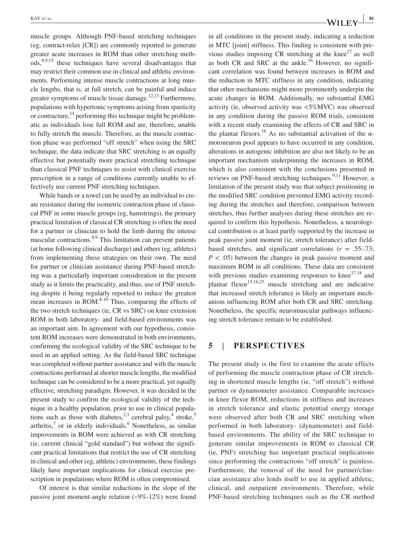muscle groups. Although PNF‐based stretching techniques (eg, contract‐relax [CR]) are commonly reported to generate greater acute increases in ROM than other stretching methods,8,9,15 these techniques have several disadvantages that may restrict their common use in clinical and athletic environments. Performing intense muscle contractions at long muscle lengths, that is, at full stretch, can be painful and induce greater symptoms of muscle tissue damage.<sup>12,13</sup> Furthermore, populations with hypertonic symptoms arising from spasticity or contracture, $^{14}$  performing this technique might be problematic as individuals lose full ROM and are, therefore, unable to fully stretch the muscle. Therefore, as the muscle contraction phase was performed "off stretch" when using the SRC technique, the data indicate that SRC stretching is an equally effective but potentially more practical stretching technique than classical PNF techniques to assist with clinical exercise prescription in a range of conditions currently unable to effectively use current PNF stretching techniques.

While bands or a towel can be used by an individual to create resistance during the isometric contraction phase of classical PNF in some muscle groups (eg, hamstrings), the primary practical limitation of classical CR stretching is often the need for a partner or clinician to hold the limb during the intense muscular contractions.<sup>8,9</sup> This limitation can prevent patients (at home following clinical discharge) and others (eg, athletes) from implementing these strategies on their own. The need for partner or clinician assistance during PNF‐based stretching was a particularly important consideration in the present study as it limits the practicality, and thus, use of PNF stretching despite it being regularly reported to induce the greatest mean increases in ROM. $8-10$  Thus, comparing the effects of the two stretch techniques (ie, CR vs SRC) on knee extension ROM in both laboratory‐ and field‐based environments was an important aim. In agreement with our hypothesis, consistent ROM increases were demonstrated in both environments, confirming the ecological validity of the SRC technique to be used in an applied setting. As the field‐based SRC technique was completed without partner assistance and with the muscle contractions performed at shorter muscle lengths, the modified technique can be considered to be a more practical, yet equally effective, stretching paradigm. However, it was decided in the present study to confirm the ecological validity of the technique in a healthy population, prior to use in clinical populations such as those with diabetes,  $2,3$  cerebral palsy,  $4$  stroke,  $5$  $arthritis<sup>7</sup>$  or in elderly individuals.<sup>6</sup> Nonetheless, as similar improvements in ROM were achieved as with CR stretching (ie, current clinical "gold standard") but without the significant practical limitations that restrict the use of CR stretching in clinical and other (eg, athletic) environments, these findings likely have important implications for clinical exercise prescription in populations where ROM is often compromised.

Of interest is that similar reductions in the slope of the passive joint moment-angle relation  $(\sim 9\% - 12\%)$  were found in all conditions in the present study, indicating a reduction in MTC [joint] stiffness. This finding is consistent with previous studies imposing CR stretching at the knee $^{17}$  as well as both CR and SRC at the ankle.<sup>16</sup> However, no significant correlation was found between increases in ROM and the reduction in MTC stiffness in any condition, indicating that other mechanisms might more prominently underpin the acute changes in ROM. Additionally, no substantial EMG activity (ie, observed activity was <5%MVC) was observed in any condition during the passive ROM trials, consistent with a recent study examining the effects of CR and SRC in the plantar flexors.<sup>16</sup> As no substantial activation of the  $\alpha$ motoneuron pool appears to have occurred in any condition, alterations in autogenic inhibition are also not likely to be an important mechanism underpinning the increases in ROM, which is also consistent with the conclusions presented in reviews on PNF-based stretching techniques.<sup>9,11</sup> However, a limitation of the present study was that subject positioning in the modified SRC condition prevented EMG activity recording during the stretches and therefore, comparison between stretches, thus further analyses during these stretches are required to confirm this hypothesis. Nonetheless, a neurological contribution is at least partly supported by the increase in peak passive joint moment (ie, stretch tolerance) after field‐ based stretches, and significant correlations  $(r = .55-.73;$ *P* < .05) between the changes in peak passive moment and maximum ROM in all conditions. These data are consistent with previous studies examining responses to knee $17,18$  and plantar flexor<sup>15,16,25</sup> muscle stretching and are indicative that increased stretch tolerance is likely an important mechanism influencing ROM after both CR and SRC stretching. Nonetheless, the specific neuromuscular pathways influencing stretch tolerance remain to be established.

#### **5** | **PERSPECTIVES**

The present study is the first to examine the acute effects of performing the muscle contraction phase of CR stretching in shortened muscle lengths (ie, "off stretch") without partner or dynamometer assistance. Comparable increases in knee flexor ROM, reductions in stiffness and increases in stretch tolerance and elastic potential energy storage were observed after both CR and SRC stretching when performed in both laboratory‐ (dynamometer) and field‐ based environments. The ability of the SRC technique to generate similar improvements in ROM to classical CR (ie, PNF) stretching has important practical implications since performing the contractions "off stretch" is painless. Furthermore, the removal of the need for partner/clinician assistance also lends itself to use in applied athletic, clinical, and outpatient environments. Therefore, while PNF‐based stretching techniques such as the CR method